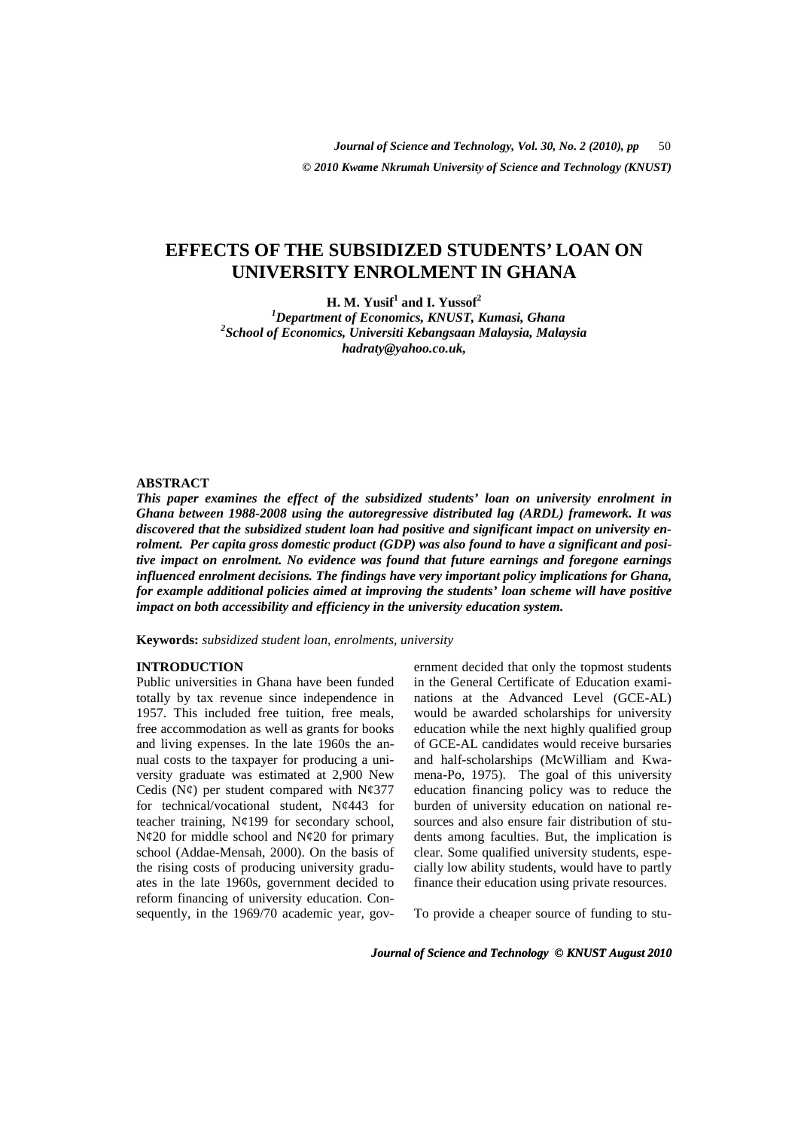# **EFFECTS OF THE SUBSIDIZED STUDENTS' LOAN ON UNIVERSITY ENROLMENT IN GHANA**

**H. M. Yusif<sup>1</sup> and I. Yussof<sup>2</sup>** *<sup>1</sup>Department of Economics, KNUST, Kumasi, Ghana 2 School of Economics, Universiti Kebangsaan Malaysia, Malaysia hadraty@yahoo.co.uk,* 

### **ABSTRACT**

*This paper examines the effect of the subsidized students' loan on university enrolment in Ghana between 1988-2008 using the autoregressive distributed lag (ARDL) framework. It was discovered that the subsidized student loan had positive and significant impact on university enrolment. Per capita gross domestic product (GDP) was also found to have a significant and positive impact on enrolment. No evidence was found that future earnings and foregone earnings influenced enrolment decisions. The findings have very important policy implications for Ghana, for example additional policies aimed at improving the students' loan scheme will have positive impact on both accessibility and efficiency in the university education system.* 

**Keywords:** *subsidized student loan, enrolments, university* 

# **INTRODUCTION**

Public universities in Ghana have been funded totally by tax revenue since independence in 1957. This included free tuition, free meals, free accommodation as well as grants for books and living expenses. In the late 1960s the annual costs to the taxpayer for producing a university graduate was estimated at 2,900 New Cedis ( $N\phi$ ) per student compared with  $N\phi$ 377 for technical/vocational student, N¢443 for teacher training, N¢199 for secondary school,  $N\mathcal{L}20$  for middle school and  $N\mathcal{L}20$  for primary school (Addae-Mensah, 2000). On the basis of the rising costs of producing university graduates in the late 1960s, government decided to reform financing of university education. Consequently, in the 1969/70 academic year, gov-

ernment decided that only the topmost students in the General Certificate of Education examinations at the Advanced Level (GCE-AL) would be awarded scholarships for university education while the next highly qualified group of GCE-AL candidates would receive bursaries and half-scholarships (McWilliam and Kwamena-Po, 1975). The goal of this university education financing policy was to reduce the burden of university education on national resources and also ensure fair distribution of students among faculties. But, the implication is clear. Some qualified university students, especially low ability students, would have to partly finance their education using private resources.

To provide a cheaper source of funding to stu-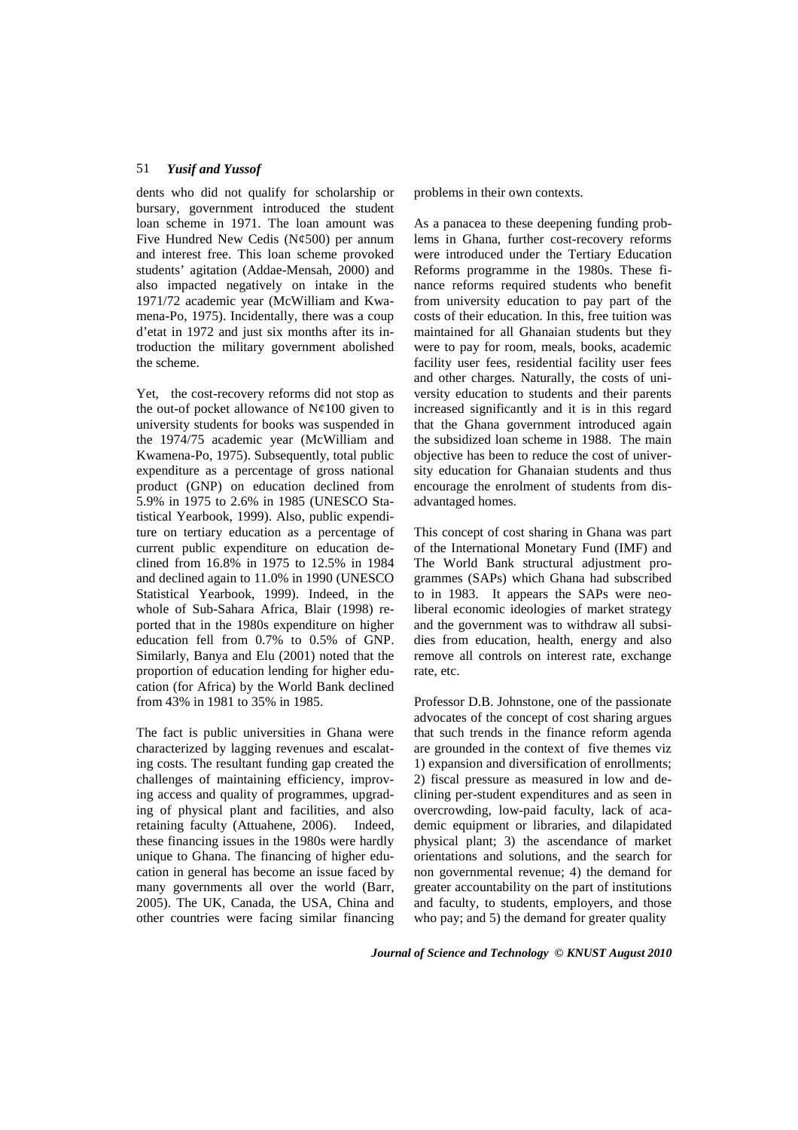dents who did not qualify for scholarship or bursary, government introduced the student loan scheme in 1971. The loan amount was Five Hundred New Cedis (N¢500) per annum and interest free. This loan scheme provoked students' agitation (Addae-Mensah, 2000) and also impacted negatively on intake in the 1971/72 academic year (McWilliam and Kwamena-Po, 1975). Incidentally, there was a coup d'etat in 1972 and just six months after its introduction the military government abolished the scheme.

Yet, the cost-recovery reforms did not stop as the out-of pocket allowance of  $N¢100$  given to university students for books was suspended in the 1974/75 academic year (McWilliam and Kwamena-Po, 1975). Subsequently, total public expenditure as a percentage of gross national product (GNP) on education declined from 5.9% in 1975 to 2.6% in 1985 (UNESCO Statistical Yearbook, 1999). Also, public expenditure on tertiary education as a percentage of current public expenditure on education declined from 16.8% in 1975 to 12.5% in 1984 and declined again to 11.0% in 1990 (UNESCO Statistical Yearbook, 1999). Indeed, in the whole of Sub-Sahara Africa, Blair (1998) reported that in the 1980s expenditure on higher education fell from 0.7% to 0.5% of GNP. Similarly, Banya and Elu (2001) noted that the proportion of education lending for higher education (for Africa) by the World Bank declined from 43% in 1981 to 35% in 1985.

The fact is public universities in Ghana were characterized by lagging revenues and escalating costs. The resultant funding gap created the challenges of maintaining efficiency, improving access and quality of programmes, upgrading of physical plant and facilities, and also retaining faculty (Attuahene, 2006). Indeed, these financing issues in the 1980s were hardly unique to Ghana. The financing of higher education in general has become an issue faced by many governments all over the world (Barr, 2005). The UK, Canada, the USA, China and other countries were facing similar financing

problems in their own contexts.

As a panacea to these deepening funding problems in Ghana, further cost-recovery reforms were introduced under the Tertiary Education Reforms programme in the 1980s. These finance reforms required students who benefit from university education to pay part of the costs of their education. In this, free tuition was maintained for all Ghanaian students but they were to pay for room, meals, books, academic facility user fees, residential facility user fees and other charges*.* Naturally, the costs of university education to students and their parents increased significantly and it is in this regard that the Ghana government introduced again the subsidized loan scheme in 1988. The main objective has been to reduce the cost of university education for Ghanaian students and thus encourage the enrolment of students from disadvantaged homes.

This concept of cost sharing in Ghana was part of the International Monetary Fund (IMF) and The World Bank structural adjustment programmes (SAPs) which Ghana had subscribed to in 1983. It appears the SAPs were neoliberal economic ideologies of market strategy and the government was to withdraw all subsidies from education, health, energy and also remove all controls on interest rate, exchange rate, etc.

Professor D.B. Johnstone, one of the passionate advocates of the concept of cost sharing argues that such trends in the finance reform agenda are grounded in the context of five themes viz 1) expansion and diversification of enrollments; 2) fiscal pressure as measured in low and declining per-student expenditures and as seen in overcrowding, low-paid faculty, lack of academic equipment or libraries, and dilapidated physical plant; 3) the ascendance of market orientations and solutions, and the search for non governmental revenue; 4) the demand for greater accountability on the part of institutions and faculty, to students, employers, and those who pay; and 5) the demand for greater quality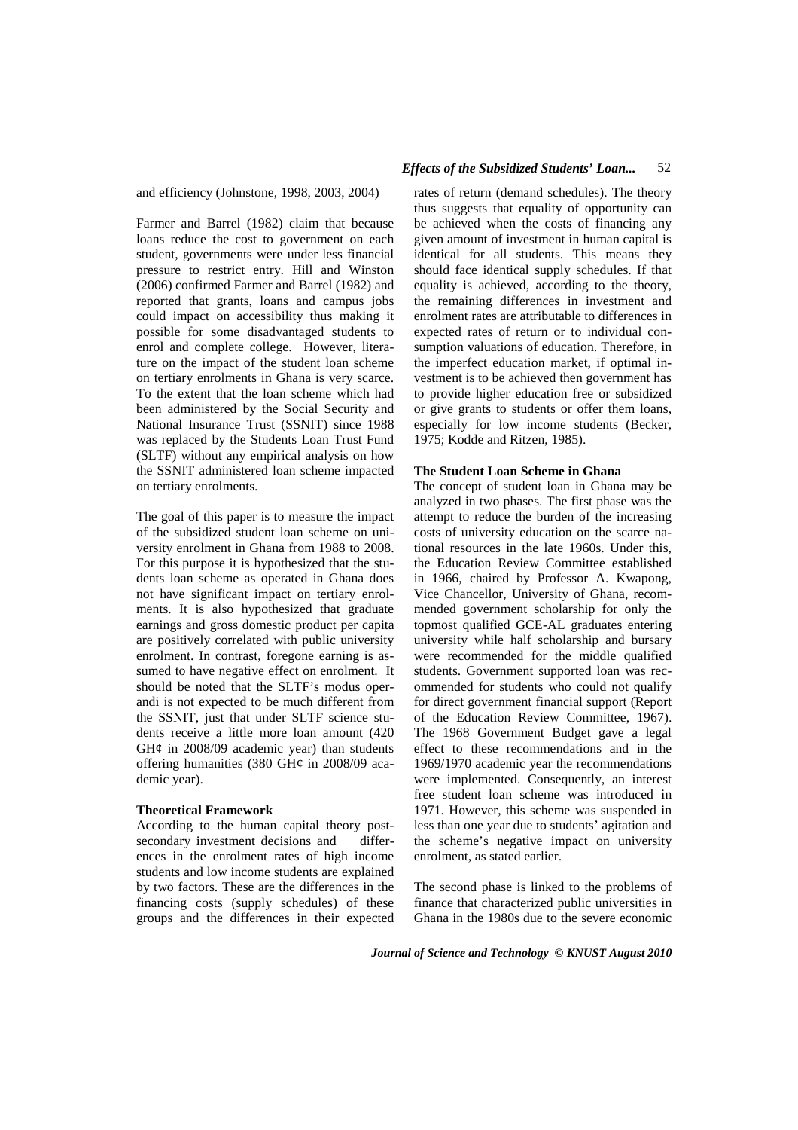and efficiency (Johnstone, 1998, 2003, 2004)

Farmer and Barrel (1982) claim that because loans reduce the cost to government on each student, governments were under less financial pressure to restrict entry. Hill and Winston (2006) confirmed Farmer and Barrel (1982) and reported that grants, loans and campus jobs could impact on accessibility thus making it possible for some disadvantaged students to enrol and complete college. However, literature on the impact of the student loan scheme on tertiary enrolments in Ghana is very scarce. To the extent that the loan scheme which had been administered by the Social Security and National Insurance Trust (SSNIT) since 1988 was replaced by the Students Loan Trust Fund (SLTF) without any empirical analysis on how the SSNIT administered loan scheme impacted on tertiary enrolments.

The goal of this paper is to measure the impact of the subsidized student loan scheme on university enrolment in Ghana from 1988 to 2008. For this purpose it is hypothesized that the students loan scheme as operated in Ghana does not have significant impact on tertiary enrolments. It is also hypothesized that graduate earnings and gross domestic product per capita are positively correlated with public university enrolment. In contrast, foregone earning is assumed to have negative effect on enrolment. It should be noted that the SLTF's modus operandi is not expected to be much different from the SSNIT, just that under SLTF science students receive a little more loan amount (420 GH¢ in 2008/09 academic year) than students offering humanities (380 GH $\phi$  in 2008/09 academic year).

### **Theoretical Framework**

According to the human capital theory postsecondary investment decisions and differences in the enrolment rates of high income students and low income students are explained by two factors. These are the differences in the financing costs (supply schedules) of these groups and the differences in their expected

### *Effects of the Subsidized Students' Loan...* 52

rates of return (demand schedules). The theory thus suggests that equality of opportunity can be achieved when the costs of financing any given amount of investment in human capital is identical for all students. This means they should face identical supply schedules. If that equality is achieved, according to the theory, the remaining differences in investment and enrolment rates are attributable to differences in expected rates of return or to individual consumption valuations of education. Therefore, in the imperfect education market, if optimal investment is to be achieved then government has to provide higher education free or subsidized or give grants to students or offer them loans, especially for low income students (Becker, 1975; Kodde and Ritzen, 1985).

### **The Student Loan Scheme in Ghana**

The concept of student loan in Ghana may be analyzed in two phases. The first phase was the attempt to reduce the burden of the increasing costs of university education on the scarce national resources in the late 1960s. Under this, the Education Review Committee established in 1966, chaired by Professor A. Kwapong, Vice Chancellor, University of Ghana, recommended government scholarship for only the topmost qualified GCE-AL graduates entering university while half scholarship and bursary were recommended for the middle qualified students. Government supported loan was recommended for students who could not qualify for direct government financial support (Report of the Education Review Committee, 1967). The 1968 Government Budget gave a legal effect to these recommendations and in the 1969/1970 academic year the recommendations were implemented. Consequently, an interest free student loan scheme was introduced in 1971. However, this scheme was suspended in less than one year due to students' agitation and the scheme's negative impact on university enrolment, as stated earlier.

The second phase is linked to the problems of finance that characterized public universities in Ghana in the 1980s due to the severe economic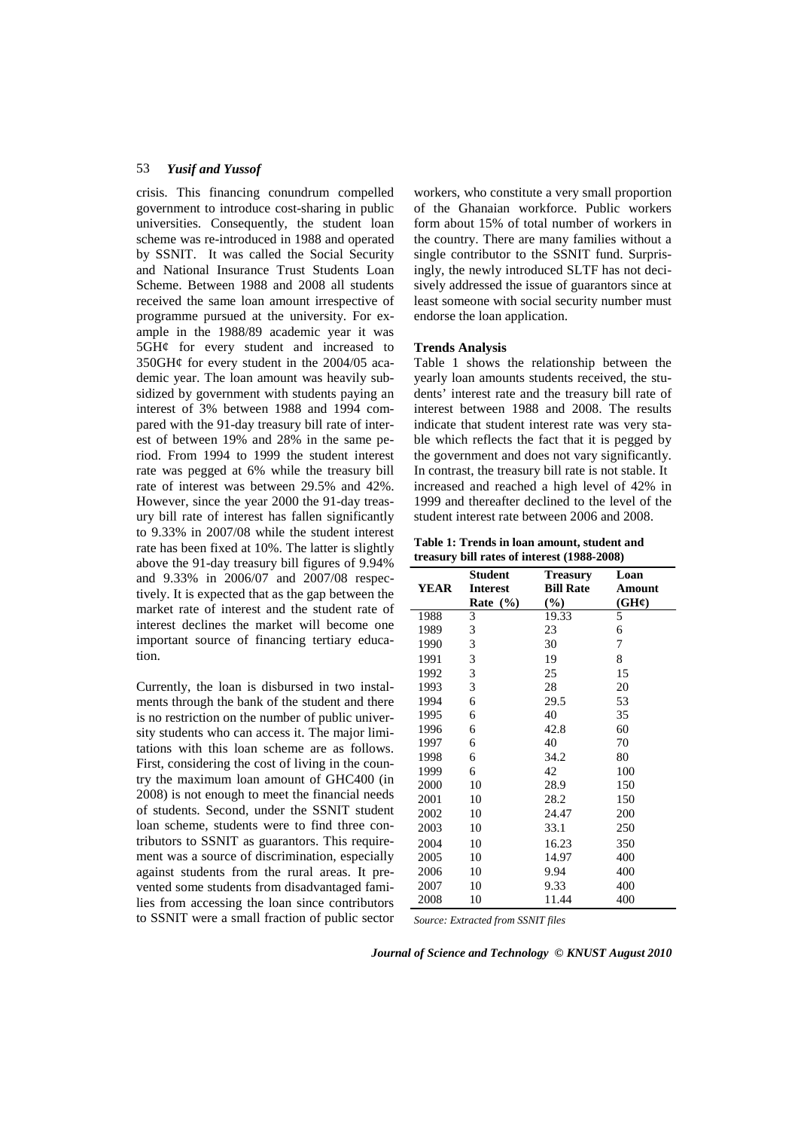crisis. This financing conundrum compelled government to introduce cost-sharing in public universities. Consequently, the student loan scheme was re-introduced in 1988 and operated by SSNIT. It was called the Social Security and National Insurance Trust Students Loan Scheme. Between 1988 and 2008 all students received the same loan amount irrespective of programme pursued at the university. For example in the 1988/89 academic year it was 5GH¢ for every student and increased to 350GH¢ for every student in the 2004/05 academic year. The loan amount was heavily subsidized by government with students paying an interest of 3% between 1988 and 1994 compared with the 91-day treasury bill rate of interest of between 19% and 28% in the same period. From 1994 to 1999 the student interest rate was pegged at 6% while the treasury bill rate of interest was between 29.5% and 42%. However, since the year 2000 the 91-day treasury bill rate of interest has fallen significantly to 9.33% in 2007/08 while the student interest rate has been fixed at 10%. The latter is slightly above the 91-day treasury bill figures of 9.94% and 9.33% in 2006/07 and 2007/08 respectively. It is expected that as the gap between the market rate of interest and the student rate of interest declines the market will become one important source of financing tertiary education.

Currently, the loan is disbursed in two instalments through the bank of the student and there is no restriction on the number of public university students who can access it. The major limitations with this loan scheme are as follows. First, considering the cost of living in the country the maximum loan amount of GHC400 (in 2008) is not enough to meet the financial needs of students. Second, under the SSNIT student loan scheme, students were to find three contributors to SSNIT as guarantors. This requirement was a source of discrimination, especially against students from the rural areas. It prevented some students from disadvantaged families from accessing the loan since contributors to SSNIT were a small fraction of public sector workers, who constitute a very small proportion of the Ghanaian workforce. Public workers form about 15% of total number of workers in the country. There are many families without a single contributor to the SSNIT fund. Surprisingly, the newly introduced SLTF has not decisively addressed the issue of guarantors since at least someone with social security number must endorse the loan application.

### **Trends Analysis**

Table 1 shows the relationship between the yearly loan amounts students received, the students' interest rate and the treasury bill rate of interest between 1988 and 2008. The results indicate that student interest rate was very stable which reflects the fact that it is pegged by the government and does not vary significantly. In contrast, the treasury bill rate is not stable. It increased and reached a high level of 42% in 1999 and thereafter declined to the level of the student interest rate between 2006 and 2008.

**Table 1: Trends in loan amount, student and treasury bill rates of interest (1988-2008)** 

|      | <b>Student</b>  | <b>Treasury</b>  | Loan              |
|------|-----------------|------------------|-------------------|
| YEAR | <b>Interest</b> | <b>Bill Rate</b> | Amount            |
|      | Rate $(\% )$    | $(\%)$           | $(GH\mathcal{C})$ |
| 1988 | 3               | 19.33            | 5                 |
| 1989 | 3               | 23               | 6                 |
| 1990 | 3               | 30               | 7                 |
| 1991 | 3               | 19               | 8                 |
| 1992 | 3               | 25               | 15                |
| 1993 | 3               | 28               | 20                |
| 1994 | 6               | 29.5             | 53                |
| 1995 | 6               | 40               | 35                |
| 1996 | 6               | 42.8             | 60                |
| 1997 | 6               | 40               | 70                |
| 1998 | 6               | 34.2             | 80                |
| 1999 | 6               | 42               | 100               |
| 2000 | 10              | 28.9             | 150               |
| 2001 | 10              | 28.2             | 150               |
| 2002 | 10              | 24.47            | 200               |
| 2003 | 10              | 33.1             | 250               |
| 2004 | 10              | 16.23            | 350               |
| 2005 | 10              | 14.97            | 400               |
| 2006 | 10              | 9.94             | 400               |
| 2007 | 10              | 9.33             | 400               |
| 2008 | 10              | 11.44            | 400               |

*Source: Extracted from SSNIT files*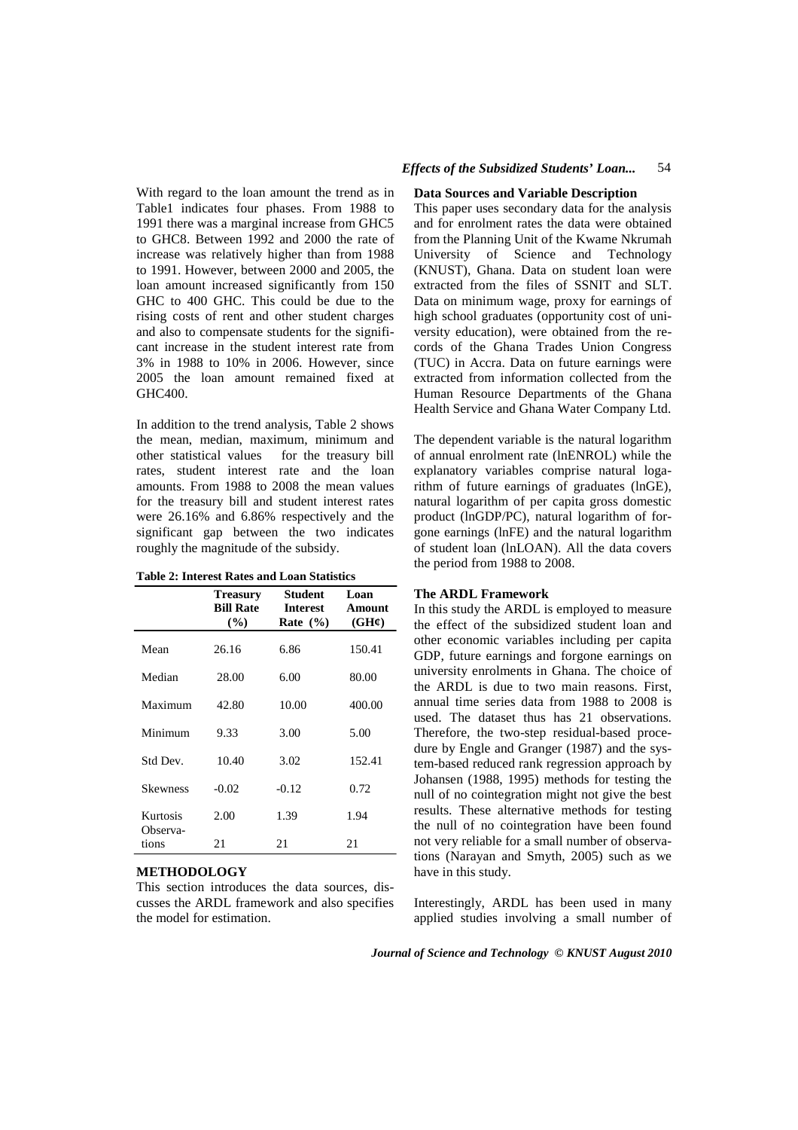With regard to the loan amount the trend as in Table1 indicates four phases. From 1988 to 1991 there was a marginal increase from GHC5 to GHC8. Between 1992 and 2000 the rate of increase was relatively higher than from 1988 to 1991. However, between 2000 and 2005, the loan amount increased significantly from 150 GHC to 400 GHC. This could be due to the rising costs of rent and other student charges and also to compensate students for the significant increase in the student interest rate from 3% in 1988 to 10% in 2006. However, since 2005 the loan amount remained fixed at GHC400.

In addition to the trend analysis, Table 2 shows the mean, median, maximum, minimum and other statistical values for the treasury bill rates, student interest rate and the loan amounts. From 1988 to 2008 the mean values for the treasury bill and student interest rates were 26.16% and 6.86% respectively and the significant gap between the two indicates roughly the magnitude of the subsidy.

### **Table 2: Interest Rates and Loan Statistics**

|                   | <b>Treasury</b><br><b>Bill Rate</b><br>(%) | <b>Student</b><br><b>Interest</b><br>Rate $(\% )$ | Loan<br>Amount<br>$(GH\mathcal{L})$ |
|-------------------|--------------------------------------------|---------------------------------------------------|-------------------------------------|
| Mean              | 26.16                                      | 6.86                                              | 150.41                              |
| Median            | 28.00                                      | 6.00                                              | 80.00                               |
| Maximum           | 42.80                                      | 10.00                                             | 400.00                              |
| Minimum           | 9.33                                       | 3.00                                              | 5.00                                |
| Std Dev.          | 10.40                                      | 3.02                                              | 152.41                              |
| Skewness          | $-0.02$                                    | $-0.12$                                           | 0.72                                |
| Kurtosis          | 2.00                                       | 1.39                                              | 1.94                                |
| Observa-<br>tions | 21                                         | 21                                                | 21                                  |

# **METHODOLOGY**

This section introduces the data sources, discusses the ARDL framework and also specifies the model for estimation.

#### 54 *Effects of the Subsidized Students' Loan...*

### **Data Sources and Variable Description**

This paper uses secondary data for the analysis and for enrolment rates the data were obtained from the Planning Unit of the Kwame Nkrumah University of Science and Technology (KNUST), Ghana. Data on student loan were extracted from the files of SSNIT and SLT. Data on minimum wage, proxy for earnings of high school graduates (opportunity cost of university education), were obtained from the records of the Ghana Trades Union Congress (TUC) in Accra. Data on future earnings were extracted from information collected from the Human Resource Departments of the Ghana Health Service and Ghana Water Company Ltd.

The dependent variable is the natural logarithm of annual enrolment rate (lnENROL) while the explanatory variables comprise natural logarithm of future earnings of graduates (lnGE), natural logarithm of per capita gross domestic product (lnGDP/PC), natural logarithm of forgone earnings (lnFE) and the natural logarithm of student loan (lnLOAN). All the data covers the period from 1988 to 2008.

### **The ARDL Framework**

In this study the ARDL is employed to measure the effect of the subsidized student loan and other economic variables including per capita GDP, future earnings and forgone earnings on university enrolments in Ghana. The choice of the ARDL is due to two main reasons. First, annual time series data from 1988 to 2008 is used. The dataset thus has 21 observations. Therefore, the two-step residual-based procedure by Engle and Granger (1987) and the system-based reduced rank regression approach by Johansen (1988, 1995) methods for testing the null of no cointegration might not give the best results. These alternative methods for testing the null of no cointegration have been found not very reliable for a small number of observations (Narayan and Smyth, 2005) such as we have in this study.

Interestingly, ARDL has been used in many applied studies involving a small number of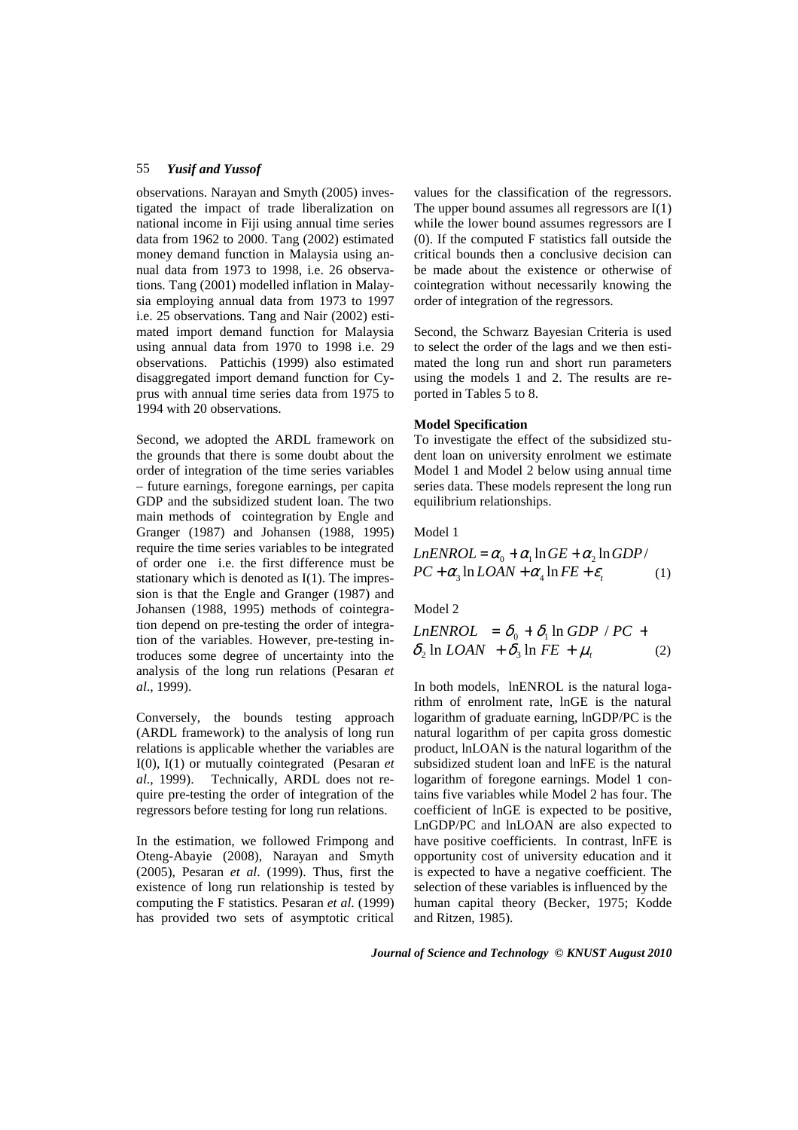observations. Narayan and Smyth (2005) investigated the impact of trade liberalization on national income in Fiji using annual time series data from 1962 to 2000. Tang (2002) estimated money demand function in Malaysia using annual data from 1973 to 1998, i.e. 26 observations. Tang (2001) modelled inflation in Malaysia employing annual data from 1973 to 1997 i.e. 25 observations. Tang and Nair (2002) estimated import demand function for Malaysia using annual data from 1970 to 1998 i.e. 29 observations. Pattichis (1999) also estimated disaggregated import demand function for Cyprus with annual time series data from 1975 to 1994 with 20 observations.

Second, we adopted the ARDL framework on the grounds that there is some doubt about the order of integration of the time series variables – future earnings, foregone earnings, per capita GDP and the subsidized student loan. The two main methods of cointegration by Engle and Granger (1987) and Johansen (1988, 1995) require the time series variables to be integrated of order one i.e. the first difference must be stationary which is denoted as I(1). The impression is that the Engle and Granger (1987) and Johansen (1988, 1995) methods of cointegration depend on pre-testing the order of integration of the variables. However, pre-testing introduces some degree of uncertainty into the analysis of the long run relations (Pesaran *et al*., 1999).

Conversely, the bounds testing approach (ARDL framework) to the analysis of long run relations is applicable whether the variables are I(0), I(1) or mutually cointegrated (Pesaran *et al*., 1999). Technically, ARDL does not require pre-testing the order of integration of the regressors before testing for long run relations.

In the estimation, we followed Frimpong and Oteng-Abayie (2008), Narayan and Smyth (2005), Pesaran *et al*. (1999). Thus, first the existence of long run relationship is tested by computing the F statistics. Pesaran *et al*. (1999) has provided two sets of asymptotic critical

values for the classification of the regressors. The upper bound assumes all regressors are I(1) while the lower bound assumes regressors are I (0). If the computed F statistics fall outside the critical bounds then a conclusive decision can be made about the existence or otherwise of cointegration without necessarily knowing the order of integration of the regressors.

Second, the Schwarz Bayesian Criteria is used to select the order of the lags and we then estimated the long run and short run parameters using the models 1 and 2. The results are reported in Tables 5 to 8.

### **Model Specification**

To investigate the effect of the subsidized student loan on university enrolment we estimate Model 1 and Model 2 below using annual time series data. These models represent the long run equilibrium relationships.

Model 1

$$
LnENROL = \alpha_0 + \alpha_1 \ln GE + \alpha_2 \ln GDP / PC + \alpha_3 \ln LOAN + \alpha_4 \ln FE + \varepsilon_t
$$
 (1)

Model 2

$$
LnENROL = \delta_0 + \delta_1 \ln GDP / PC + \delta_2 \ln LOAN + \delta_3 \ln FE + \mu_t
$$
 (2)

In both models, lnENROL is the natural logarithm of enrolment rate, lnGE is the natural logarithm of graduate earning, lnGDP/PC is the natural logarithm of per capita gross domestic product, lnLOAN is the natural logarithm of the subsidized student loan and lnFE is the natural logarithm of foregone earnings. Model 1 contains five variables while Model 2 has four. The coefficient of lnGE is expected to be positive, LnGDP/PC and lnLOAN are also expected to have positive coefficients. In contrast, lnFE is opportunity cost of university education and it is expected to have a negative coefficient. The selection of these variables is influenced by the human capital theory (Becker, 1975; Kodde and Ritzen, 1985).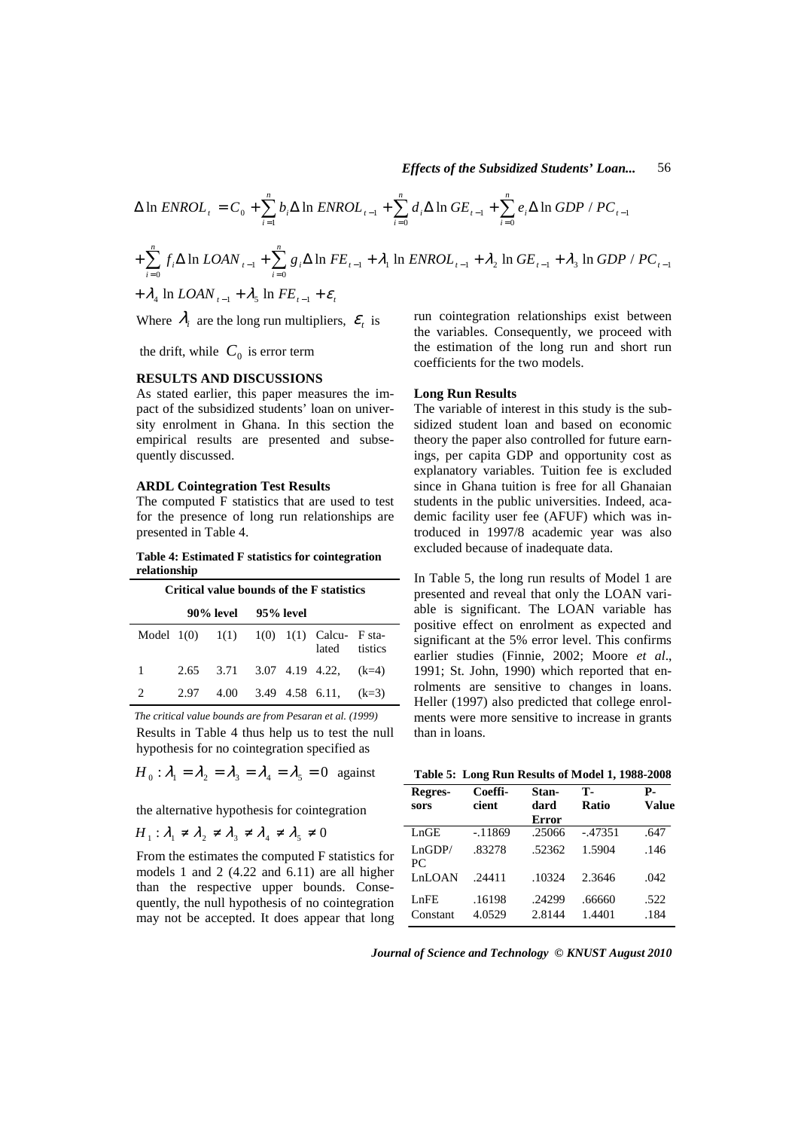$$
\Delta \ln ENROL_{t} = C_{0} + \sum_{i=1}^{n} b_{i} \Delta \ln ENROL_{t-1} + \sum_{i=0}^{n} d_{i} \Delta \ln GE_{t-1} + \sum_{i=0}^{n} e_{i} \Delta \ln GDP / PC_{t-1}
$$
  
+ 
$$
\sum_{i=0}^{n} f_{i} \Delta \ln LOAN_{t-1} + \sum_{i=0}^{n} g_{i} \Delta \ln FE_{t-1} + \lambda_{1} \ln ENROL_{t-1} + \lambda_{2} \ln GE_{t-1} + \lambda_{3} \ln GDP / PC_{t-1}
$$
  
+ 
$$
\lambda_{4} \ln LOAN_{t-1} + \lambda_{5} \ln FE_{t-1} + \varepsilon_{t}
$$

Where  $\lambda_i$  are the long run multipliers,  $\mathcal{E}_t$  is

the drift, while  $C_0$  is error term

## **RESULTS AND DISCUSSIONS**

As stated earlier, this paper measures the impact of the subsidized students' loan on university enrolment in Ghana. In this section the empirical results are presented and subsequently discussed.

### **ARDL Cointegration Test Results**

The computed F statistics that are used to test for the presence of long run relationships are presented in Table 4.

|              |  |  | Table 4: Estimated F statistics for cointegration |
|--------------|--|--|---------------------------------------------------|
| relationship |  |  |                                                   |

| Critical value bounds of the F statistics |      |  |  |  |                                                                  |  |
|-------------------------------------------|------|--|--|--|------------------------------------------------------------------|--|
| 90% level 95% level                       |      |  |  |  |                                                                  |  |
|                                           |      |  |  |  | Model $1(0)$ $1(1)$ $1(0)$ $1(1)$ Calcu- F sta-<br>lated tistics |  |
| 1                                         |      |  |  |  | 2.65 3.71 3.07 4.19 4.22, $(k=4)$                                |  |
| $\mathcal{L}$                             | 2.97 |  |  |  | 4.00 3.49 4.58 6.11, $(k=3)$                                     |  |

*The critical value bounds are from Pesaran et al. (1999)* 

Results in Table 4 thus help us to test the null hypothesis for no cointegration specified as

 $H_0$ :  $\lambda_1 = \lambda_2 = \lambda_3 = \lambda_4 = \lambda_5 = 0$  against

the alternative hypothesis for cointegration

$$
H_1: \lambda_1 \neq \lambda_2 \neq \lambda_3 \neq \lambda_4 \neq \lambda_5 \neq 0
$$

From the estimates the computed F statistics for models 1 and 2 (4.22 and 6.11) are all higher than the respective upper bounds. Consequently, the null hypothesis of no cointegration may not be accepted. It does appear that long

run cointegration relationships exist between the variables. Consequently, we proceed with the estimation of the long run and short run coefficients for the two models.

### **Long Run Results**

The variable of interest in this study is the subsidized student loan and based on economic theory the paper also controlled for future earnings, per capita GDP and opportunity cost as explanatory variables. Tuition fee is excluded since in Ghana tuition is free for all Ghanaian students in the public universities. Indeed, academic facility user fee (AFUF) which was introduced in 1997/8 academic year was also excluded because of inadequate data.

In Table 5, the long run results of Model 1 are presented and reveal that only the LOAN variable is significant. The LOAN variable has positive effect on enrolment as expected and significant at the 5% error level. This confirms earlier studies (Finnie, 2002; Moore *et al*., 1991; St. John, 1990) which reported that enrolments are sensitive to changes in loans. Heller (1997) also predicted that college enrolments were more sensitive to increase in grants than in loans.

|  |  |  |  | Table 5: Long Run Results of Model 1, 1988-2008 |
|--|--|--|--|-------------------------------------------------|
|--|--|--|--|-------------------------------------------------|

| Regres-<br>sors  | Coeffi-<br>cient | Stan-<br>dard    | т.<br><b>Ratio</b> | р.<br>Value  |
|------------------|------------------|------------------|--------------------|--------------|
|                  |                  | Error            |                    |              |
| LnGE             | $-11869$         | .25066           | $-.47351$          | .647         |
| LnGDP/<br>PC.    | .83278           | .52362           | 1.5904             | .146         |
| LnLOAN           | .24411           | .10324           | 2.3646             | .042         |
| LnFE<br>Constant | .16198<br>4.0529 | .24299<br>2.8144 | .66660<br>1.4401   | .522<br>.184 |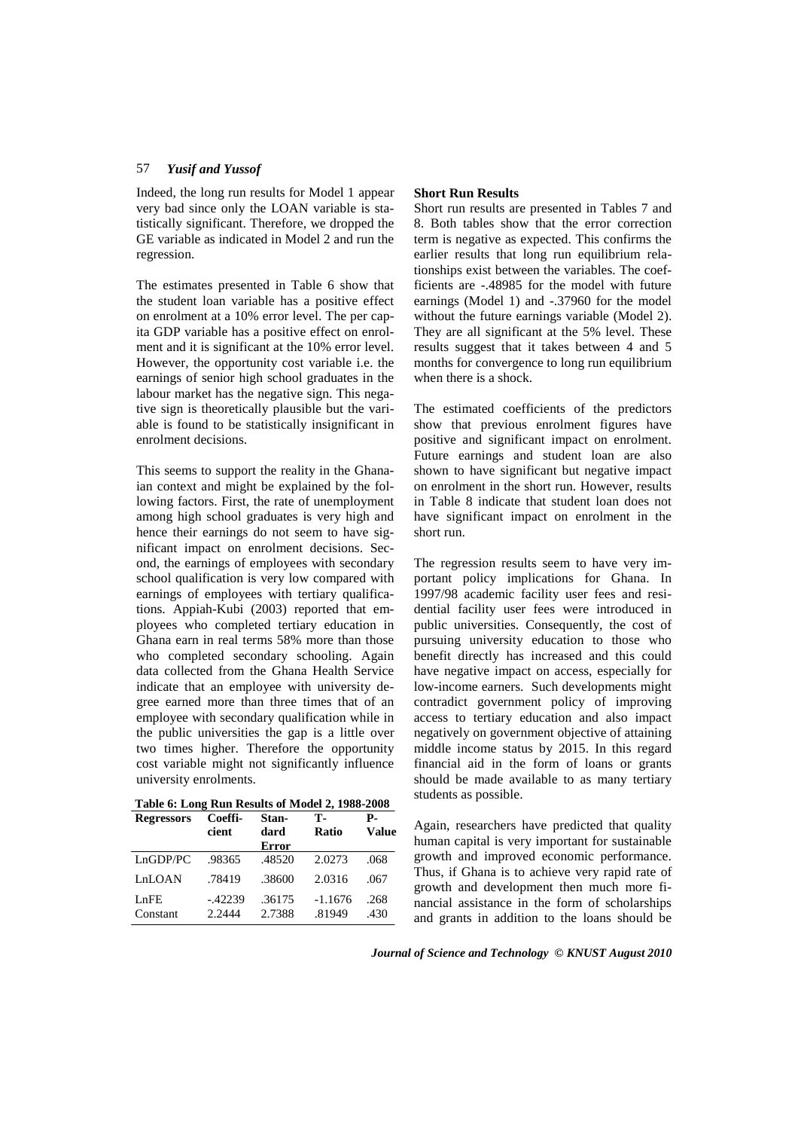Indeed, the long run results for Model 1 appear very bad since only the LOAN variable is statistically significant. Therefore, we dropped the GE variable as indicated in Model 2 and run the regression.

The estimates presented in Table 6 show that the student loan variable has a positive effect on enrolment at a 10% error level. The per capita GDP variable has a positive effect on enrolment and it is significant at the 10% error level. However, the opportunity cost variable i.e. the earnings of senior high school graduates in the labour market has the negative sign. This negative sign is theoretically plausible but the variable is found to be statistically insignificant in enrolment decisions.

This seems to support the reality in the Ghanaian context and might be explained by the following factors. First, the rate of unemployment among high school graduates is very high and hence their earnings do not seem to have significant impact on enrolment decisions. Second, the earnings of employees with secondary school qualification is very low compared with earnings of employees with tertiary qualifications. Appiah-Kubi (2003) reported that employees who completed tertiary education in Ghana earn in real terms 58% more than those who completed secondary schooling. Again data collected from the Ghana Health Service indicate that an employee with university degree earned more than three times that of an employee with secondary qualification while in the public universities the gap is a little over two times higher. Therefore the opportunity cost variable might not significantly influence university enrolments.

| Table 6: Long Run Results of Model 2, 1988-2008 |
|-------------------------------------------------|
|-------------------------------------------------|

| <b>Regressors</b> | Coeffi-<br>cient    | Stan-<br>dard<br>Error | т.<br><b>Ratio</b>  | р.<br>Value  |
|-------------------|---------------------|------------------------|---------------------|--------------|
| LnGDP/PC          | .98365              | .48520                 | 2.0273              | .068         |
| LnLOAN            | .78419              | .38600                 | 2.0316              | .067         |
| LnFE<br>Constant  | $-.42239$<br>2.2444 | .36175<br>2.7388       | $-1.1676$<br>.81949 | .268<br>.430 |

### **Short Run Results**

Short run results are presented in Tables 7 and 8. Both tables show that the error correction term is negative as expected. This confirms the earlier results that long run equilibrium relationships exist between the variables. The coefficients are -.48985 for the model with future earnings (Model 1) and -.37960 for the model without the future earnings variable (Model 2). They are all significant at the 5% level. These results suggest that it takes between 4 and 5 months for convergence to long run equilibrium when there is a shock.

The estimated coefficients of the predictors show that previous enrolment figures have positive and significant impact on enrolment. Future earnings and student loan are also shown to have significant but negative impact on enrolment in the short run. However, results in Table 8 indicate that student loan does not have significant impact on enrolment in the short run.

The regression results seem to have very important policy implications for Ghana. In 1997/98 academic facility user fees and residential facility user fees were introduced in public universities. Consequently, the cost of pursuing university education to those who benefit directly has increased and this could have negative impact on access, especially for low-income earners. Such developments might contradict government policy of improving access to tertiary education and also impact negatively on government objective of attaining middle income status by 2015. In this regard financial aid in the form of loans or grants should be made available to as many tertiary students as possible.

Again, researchers have predicted that quality human capital is very important for sustainable growth and improved economic performance. Thus, if Ghana is to achieve very rapid rate of growth and development then much more financial assistance in the form of scholarships and grants in addition to the loans should be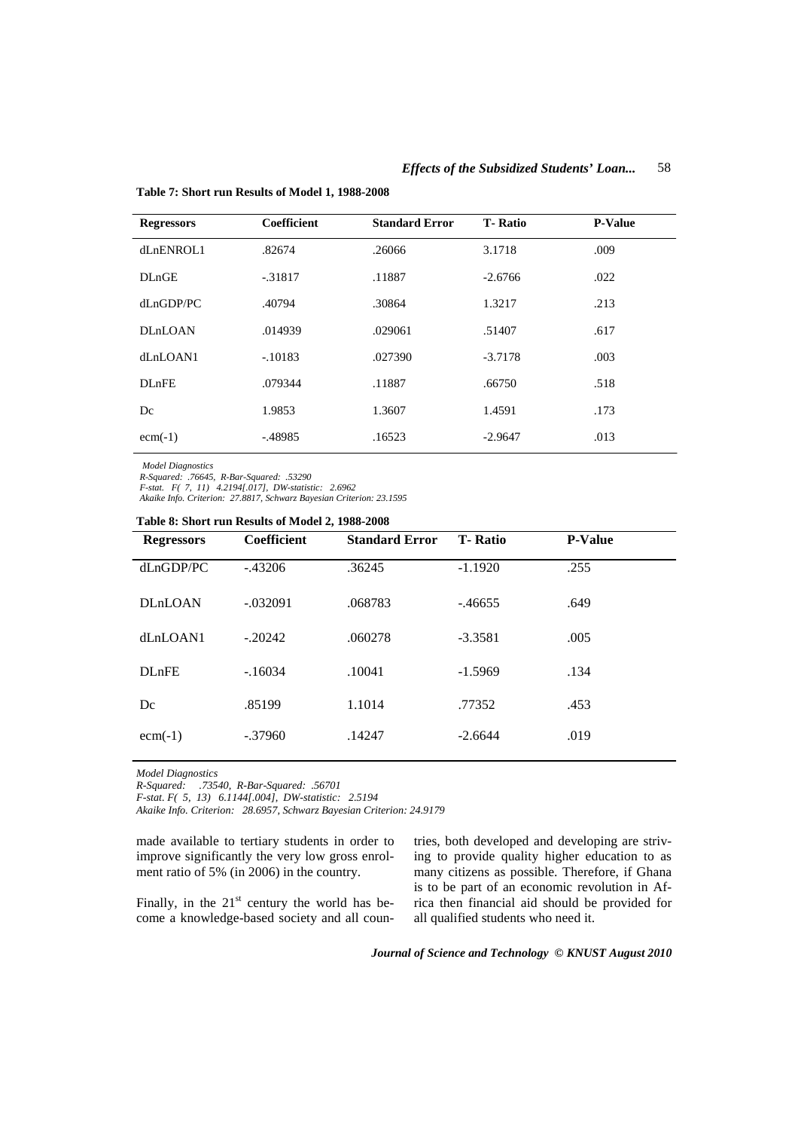| <b>Regressors</b> | Coefficient | <b>Standard Error</b> | <b>T</b> -Ratio | <b>P-Value</b> |
|-------------------|-------------|-----------------------|-----------------|----------------|
| dLnENROL1         | .82674      | .26066                | 3.1718          | .009           |
| <b>DLnGE</b>      | $-.31817$   | .11887                | $-2.6766$       | .022           |
| $d$ LnGDP/PC      | .40794      | .30864                | 1.3217          | .213           |
| DLnLOAN           | .014939     | .029061               | .51407          | .617           |
| dLnLOAN1          | $-.10183$   | .027390               | $-3.7178$       | .003           |
| DI.nFE            | .079344     | .11887                | .66750          | .518           |
| Dc                | 1.9853      | 1.3607                | 1.4591          | .173           |
| $ecm(-1)$         | $-48985$    | .16523                | $-2.9647$       | .013           |

**Table 7: Short run Results of Model 1, 1988-2008** 

*Model Diagnostics*

*R-Squared: .76645, R-Bar-Squared: .53290*

*F-stat. F( 7, 11) 4.2194[.017], DW-statistic: 2.6962*

*Akaike Info. Criterion: 27.8817, Schwarz Bayesian Criterion: 23.1595*

# **Table 8: Short run Results of Model 2, 1988-2008**

| <b>Regressors</b> | <b>Coefficient</b> | <b>Standard Error</b> | <b>T</b> -Ratio | <b>P-Value</b> |
|-------------------|--------------------|-----------------------|-----------------|----------------|
| dLnGDP/PC         | $-.43206$          | .36245                | $-1.1920$       | .255           |
| <b>DLnLOAN</b>    | $-.032091$         | .068783               | $-46655$        | .649           |
| dLnLOAN1          | $-.20242$          | .060278               | $-3.3581$       | .005           |
| <b>DLnFE</b>      | $-16034$           | .10041                | $-1.5969$       | .134           |
| Dc                | .85199             | 1.1014                | .77352          | .453           |
| $ecm(-1)$         | $-.37960$          | .14247                | $-2.6644$       | .019           |

*Model Diagnostics* 

*R-Squared: .73540, R-Bar-Squared: .56701* 

*F-stat. F( 5, 13) 6.1144[.004], DW-statistic: 2.5194* 

*Akaike Info. Criterion: 28.6957, Schwarz Bayesian Criterion: 24.9179*

made available to tertiary students in order to improve significantly the very low gross enrolment ratio of 5% (in 2006) in the country.

Finally, in the  $21<sup>st</sup>$  century the world has become a knowledge-based society and all countries, both developed and developing are striving to provide quality higher education to as many citizens as possible. Therefore, if Ghana is to be part of an economic revolution in Africa then financial aid should be provided for all qualified students who need it.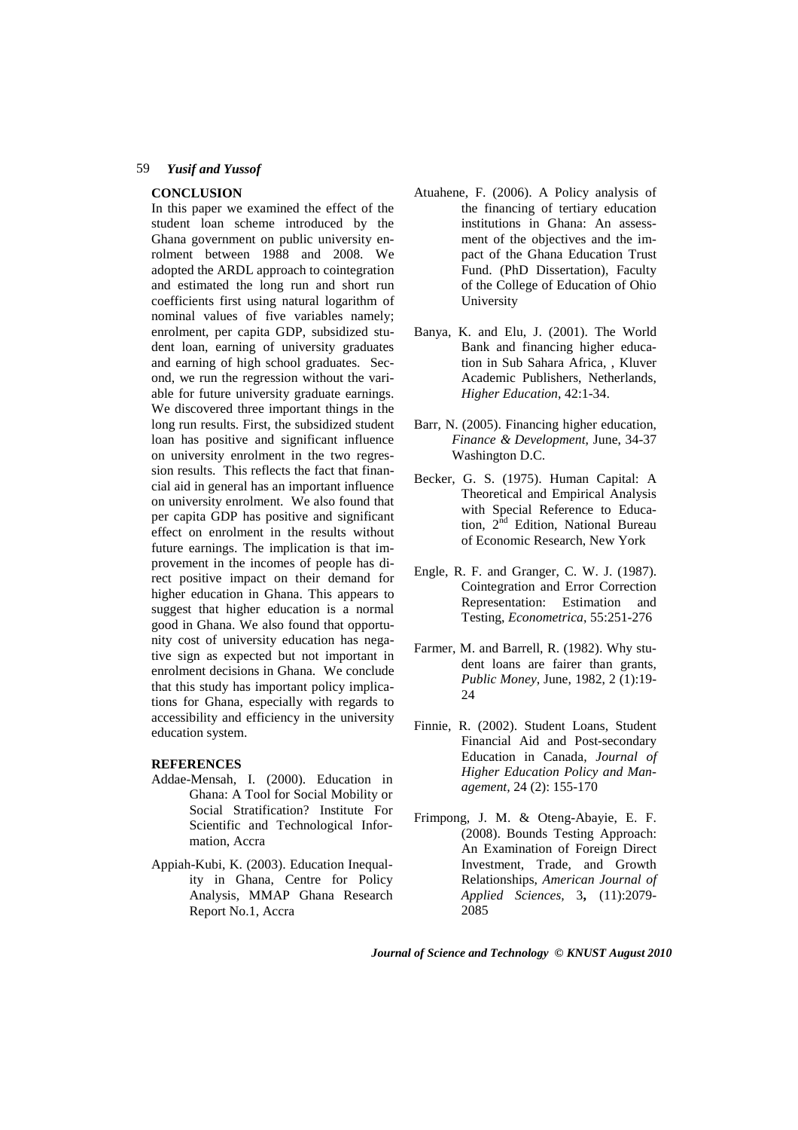### **CONCLUSION**

In this paper we examined the effect of the student loan scheme introduced by the Ghana government on public university enrolment between 1988 and 2008. We adopted the ARDL approach to cointegration and estimated the long run and short run coefficients first using natural logarithm of nominal values of five variables namely; enrolment, per capita GDP, subsidized student loan, earning of university graduates and earning of high school graduates. Second, we run the regression without the variable for future university graduate earnings. We discovered three important things in the long run results. First, the subsidized student loan has positive and significant influence on university enrolment in the two regression results. This reflects the fact that financial aid in general has an important influence on university enrolment. We also found that per capita GDP has positive and significant effect on enrolment in the results without future earnings. The implication is that improvement in the incomes of people has direct positive impact on their demand for higher education in Ghana. This appears to suggest that higher education is a normal good in Ghana. We also found that opportunity cost of university education has negative sign as expected but not important in enrolment decisions in Ghana. We conclude that this study has important policy implications for Ghana, especially with regards to accessibility and efficiency in the university education system.

### **REFERENCES**

- Addae-Mensah, I. (2000). Education in Ghana: A Tool for Social Mobility or Social Stratification? Institute For Scientific and Technological Information, Accra
- Appiah-Kubi, K. (2003). Education Inequality in Ghana, Centre for Policy Analysis, MMAP Ghana Research Report No.1, Accra
- Atuahene, F. (2006). A Policy analysis of the financing of tertiary education institutions in Ghana: An assessment of the objectives and the impact of the Ghana Education Trust Fund. (PhD Dissertation), Faculty of the College of Education of Ohio University
- Banya, K. and Elu, J. (2001). The World Bank and financing higher education in Sub Sahara Africa, , Kluver Academic Publishers, Netherlands, *Higher Education*, 42:1-34.
- Barr, N. (2005). Financing higher education, *Finance & Development*, June, 34-37 Washington D.C.
- Becker, G. S. (1975). Human Capital: A Theoretical and Empirical Analysis with Special Reference to Education,  $2^{\text{nd}}$  Edition, National Bureau of Economic Research, New York
- Engle, R. F. and Granger, C. W. J. (1987). Cointegration and Error Correction Representation: Estimation and Testing, *Econometrica*, 55:251-276
- Farmer, M. and Barrell, R. (1982). Why student loans are fairer than grants, *Public Money*, June, 1982, 2 (1):19- 24
- Finnie, R. (2002). Student Loans, Student Financial Aid and Post-secondary Education in Canada, *Journal of Higher Education Policy and Management,* 24 (2): 155-170
- Frimpong, J. M. & Oteng-Abayie, E. F. (2008). Bounds Testing Approach: An Examination of Foreign Direct Investment, Trade, and Growth Relationships, *American Journal of Applied Sciences,* 3**,** (11):2079- 2085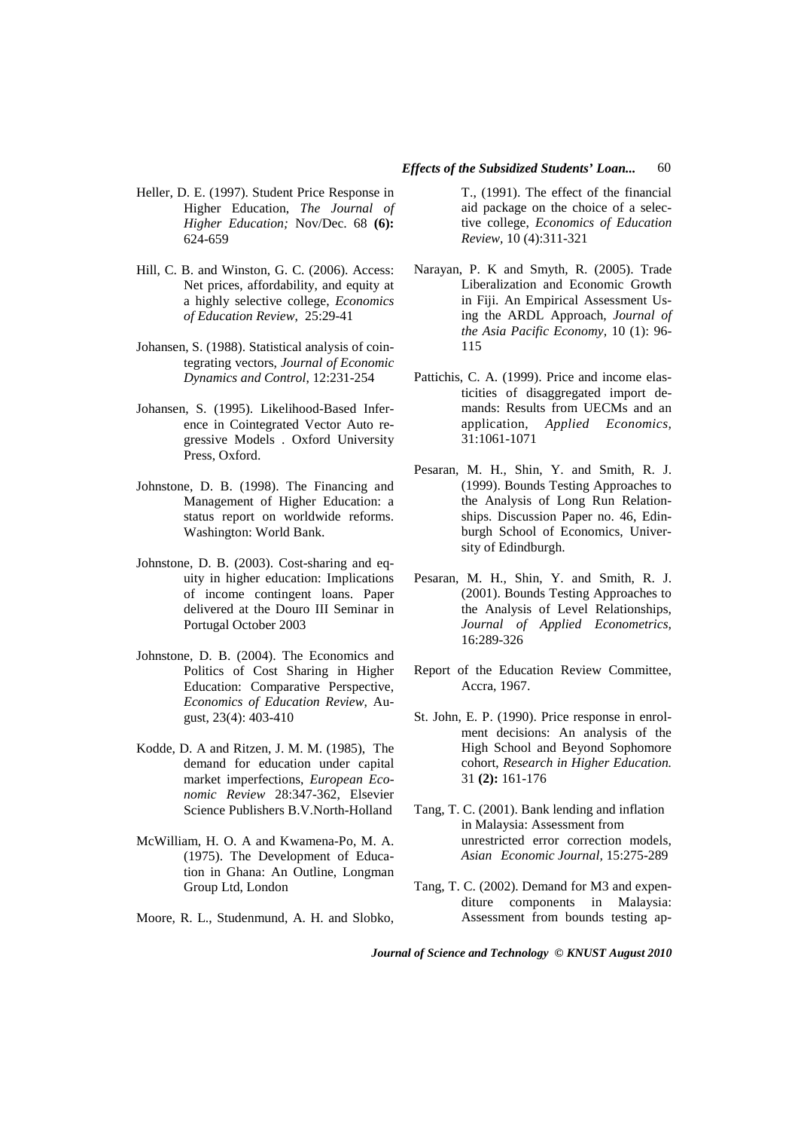- Heller, D. E. (1997). Student Price Response in Higher Education, *The Journal of Higher Education;* Nov/Dec. 68 **(6):** 624-659
- Hill, C. B. and Winston, G. C. (2006). Access: Net prices, affordability, and equity at a highly selective college, *Economics of Education Review*, 25:29-41
- Johansen, S. (1988). Statistical analysis of cointegrating vectors, *Journal of Economic Dynamics and Control*, 12:231-254
- Johansen, S. (1995). Likelihood-Based Inference in Cointegrated Vector Auto regressive Models . Oxford University Press, Oxford.
- Johnstone, D. B. (1998). The Financing and Management of Higher Education: a status report on worldwide reforms. Washington: World Bank.
- Johnstone, D. B. (2003). Cost-sharing and equity in higher education: Implications of income contingent loans. Paper delivered at the Douro III Seminar in Portugal October 2003
- Johnstone, D. B. (2004). The Economics and Politics of Cost Sharing in Higher Education: Comparative Perspective, *Economics of Education Review*, August, 23(4): 403-410
- Kodde, D. A and Ritzen, J. M. M. (1985), The demand for education under capital market imperfections, *European Economic Review* 28:347-362, Elsevier Science Publishers B.V.North-Holland
- McWilliam, H. O. A and Kwamena-Po, M. A. (1975). The Development of Education in Ghana: An Outline, Longman Group Ltd, London
- Moore, R. L., Studenmund, A. H. and Slobko,

T., (1991). The effect of the financial aid package on the choice of a selective college, *Economics of Education Review,* 10 (4):311-321

- Narayan, P. K and Smyth, R. (2005). Trade Liberalization and Economic Growth in Fiji. An Empirical Assessment Using the ARDL Approach, *Journal of the Asia Pacific Economy,* 10 (1): 96- 115
- Pattichis, C. A. (1999). Price and income elasticities of disaggregated import demands: Results from UECMs and an application, *Applied Economics,*  31:1061-1071
- Pesaran, M. H., Shin, Y. and Smith, R. J. (1999). Bounds Testing Approaches to the Analysis of Long Run Relationships. Discussion Paper no. 46, Edinburgh School of Economics, University of Edindburgh.
- Pesaran, M. H., Shin, Y. and Smith, R. J. (2001). Bounds Testing Approaches to the Analysis of Level Relationships, *Journal of Applied Econometrics,*  16:289-326
- Report of the Education Review Committee, Accra, 1967.
- St. John, E. P. (1990). Price response in enrolment decisions: An analysis of the High School and Beyond Sophomore cohort, *Research in Higher Education.*  31 **(2):** 161-176
- Tang, T. C. (2001). Bank lending and inflation in Malaysia: Assessment from unrestricted error correction models, *Asian Economic Journal,* 15:275-289
- Tang, T. C. (2002). Demand for M3 and expenditure components in Malaysia: Assessment from bounds testing ap-